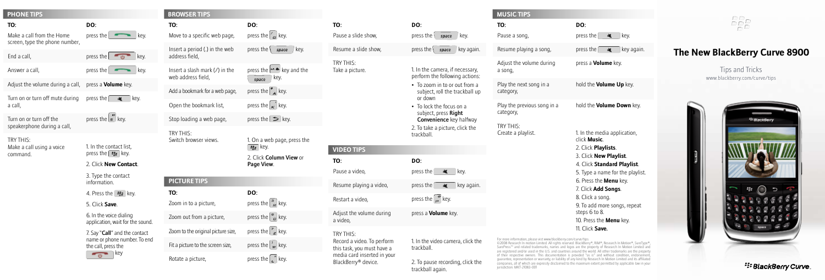| <b>PHONE TIPS</b> |  |  |  |
|-------------------|--|--|--|

| -----------                    |
|--------------------------------|
| ΤО:                            |
| Make a call from the Home      |
| screen, type the phone number, |

End a call,

Answer a call,

Adjust the volume during a call, press a **Volume** key.

**DO:**

 $p$  press the  $\sim$  key.

press the  $\theta$  key. press the  $\sim$  key.

press the  $\mathbb{R}$  key. Turn on or turn off mute during a call,

press the  $\left(\begin{matrix} \bullet \\ \bullet \end{matrix}\right)$  key. Turn on or turn off the speakerphone during a call,

Try This: Make a call using a voice command.

press the  $F = \text{key}$ . 2. Click **New Contact**.

> 3. Type the contact information.

1. In the contact list,

4. Press the  $F = k$ ey.

5. Click **Save**.

6. In the voice dialing application, wait for the sound.

7. Say "Call" and the contact name or phone number. To end the call, press the  $\overline{v}$  key

|  | TO:                                                    | DO:                                                                                         |
|--|--------------------------------------------------------|---------------------------------------------------------------------------------------------|
|  | Move to a specific web page,                           | press the $\mathcal{C}_F$ key.                                                              |
|  | Insert a period (.) in the web<br>address field,       | press the $\langle$<br>key.<br>space                                                        |
|  | Insert a slash mark $($ ) in the<br>web address field, | press the <b>A divides</b> key and the<br>key.<br>space                                     |
|  | Add a bookmark for a web page,                         | press the $\left  \frac{A}{A} \right $ key.                                                 |
|  | Open the bookmark list,                                | press the $\vert \kappa' \vert$ key.                                                        |
|  | Stop loading a web page,                               | press the $\Box$ key.                                                                       |
|  | TRY THIS:<br>Switch browser views.                     | 1. On a web page, press tl<br>$z_{xx}$ key.<br>2. Click <b>Column View</b> or<br>Page View. |
|  | <b>PICTURE TIPS</b>                                    |                                                                                             |
|  | TO:<br>Zoom in to a picture,                           | DO:<br>press the $\frac{3}{R}$ key.                                                         |
|  | Zoom out from a picture,                               | press the $\begin{bmatrix} \mathcal{P} \\ \mathcal{P} \end{bmatrix}$ key.                   |
|  | Zoom to the original picture size,                     | press the $\vert z \vert$ key.                                                              |
|  | Fit a picture to the screen size,                      | press the $\vert w \vert$ key.                                                              |
|  | Rotate a picture,                                      | press the $\lfloor \frac{n}{r} \rfloor$ key.                                                |

**BROWSER TIPS**

**PHONE TIPS MUSIC TIPS MUSIC TIPS MUSIC TIPS VIDEO TIPS** he  $\blacktriangle$  key and the web page, press the **TO:** Pause a slide show, Resume a slide show, Try This: Take a picture. **TO:** Pause a video, Resume playing a video,

a video,

perform the following actions: • To zoom in to or out from a subject, roll the trackball up or down • To lock the focus on a subject, press Right Convenience key halfway 2. To take a picture, click the trackball. **DO:** press the  $\overline{\mathbf{w}}$  key. press the  $\mathbb{R}$  key again. Restart a video, Adjust the volume during

**DO:**

press the  $\sqrt{\frac{p}{k}}$  space key. press the  $\left\langle \right\rangle$  space key again.

1. In the camera, if necessary,

Try This: Record a video. To perform this task, you must have a media card inserted in your BlackBerry® device.

press the  $\sqrt{\frac{m}{n}}$  key. press a **Volume** key. 1. In the video camera, click the trackball.

2. To pause recording, click the trackball again.

| <b>MUSIC TIPS</b>                        |                                                                                                                                                                                                                                                                                                                                                  |
|------------------------------------------|--------------------------------------------------------------------------------------------------------------------------------------------------------------------------------------------------------------------------------------------------------------------------------------------------------------------------------------------------|
| TO:<br>Pause a song,                     | DO:<br>press the  <br>一直<br>key.                                                                                                                                                                                                                                                                                                                 |
| Resume playing a song,                   | press the<br>嗔<br>key again.                                                                                                                                                                                                                                                                                                                     |
| Adjust the volume during<br>a song,      | press a <b>Volume</b> key.                                                                                                                                                                                                                                                                                                                       |
| Play the next song in a<br>category,     | hold the <b>Volume Up</b> key.                                                                                                                                                                                                                                                                                                                   |
| Play the previous song in a<br>category, | hold the Volume Down key.                                                                                                                                                                                                                                                                                                                        |
| TRY THIS:<br>Create a playlist.          | 1. In the media application,<br>click <b>Music</b><br>2. Click <b>Playlists</b> .<br>3. Click New Playlist.<br>4. Click Standard Playlist.<br>5. Type a name for the playlist.<br>6. Press the Menu key.<br>7. Click Add Songs.<br>8. Click a song.<br>9. To add more songs, repeat<br>steps 6 to 8.<br>10. Press the Menu key.<br>11 Click Save |

For more information, please vist www.blackberry.com/curve/tips ©2008 Research In motion Limited. All rights reserved. BlackBerry®, RIM®, Research In Motion®, SureType®,<br>SurePress™ and related trademarks, names and logos are the property of Research In Motion Limited and are registered and/or used in the U.S. and countries around the world. All other trademarks are the property of their respective owners. This documentation is provided "as is" and without condition, endorsement, guarantee, representation or warranty, or liability of any kind by Research In Motion Limited and its affiliated companies, all of which are expressly disclaimed to the maximum extent permitted by applicable law in your jurisdiction. MKT-21083-001

## $\frac{DP}{DP}$

## **The New BlackBerry Curve 8900**

Tips and Tricks www.blackberry.com/curve/tips



## <sup>22</sup> BlackBerry Curve.